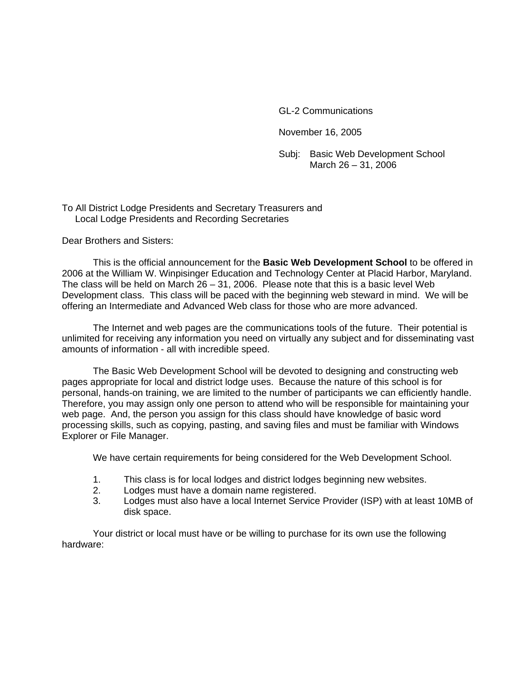GL-2 Communications

November 16, 2005

 Subj: Basic Web Development School March 26 – 31, 2006

To All District Lodge Presidents and Secretary Treasurers and Local Lodge Presidents and Recording Secretaries

Dear Brothers and Sisters:

This is the official announcement for the **Basic Web Development School** to be offered in 2006 at the William W. Winpisinger Education and Technology Center at Placid Harbor, Maryland. The class will be held on March 26 – 31, 2006. Please note that this is a basic level Web Development class. This class will be paced with the beginning web steward in mind. We will be offering an Intermediate and Advanced Web class for those who are more advanced.

The Internet and web pages are the communications tools of the future. Their potential is unlimited for receiving any information you need on virtually any subject and for disseminating vast amounts of information - all with incredible speed.

The Basic Web Development School will be devoted to designing and constructing web pages appropriate for local and district lodge uses. Because the nature of this school is for personal, hands-on training, we are limited to the number of participants we can efficiently handle. Therefore, you may assign only one person to attend who will be responsible for maintaining your web page. And, the person you assign for this class should have knowledge of basic word processing skills, such as copying, pasting, and saving files and must be familiar with Windows Explorer or File Manager.

We have certain requirements for being considered for the Web Development School.

- 1. This class is for local lodges and district lodges beginning new websites.
- 2. Lodges must have a domain name registered.
- 3. Lodges must also have a local Internet Service Provider (ISP) with at least 10MB of disk space.

Your district or local must have or be willing to purchase for its own use the following hardware: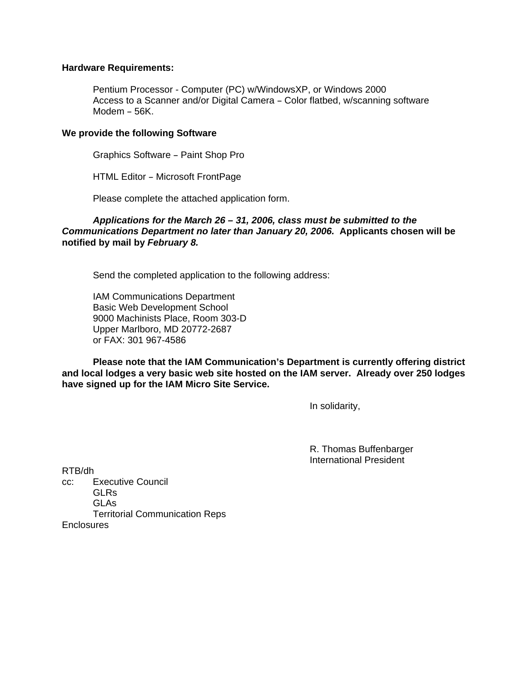## **Hardware Requirements:**

Pentium Processor - Computer (PC) w/WindowsXP, or Windows 2000 Access to a Scanner and/or Digital Camera - Color flatbed, w/scanning software Modem  $-56K$ .

## **We provide the following Software**

Graphics Software - Paint Shop Pro

HTML Editor - Microsoft FrontPage

Please complete the attached application form.

## *Applications for the March 26 – 31, 2006, class must be submitted to the Communications Department no later than January 20, 2006.* **Applicants chosen will be notified by mail by** *February 8.*

Send the completed application to the following address:

IAM Communications Department Basic Web Development School 9000 Machinists Place, Room 303-D Upper Marlboro, MD 20772-2687 or FAX: 301 967-4586

**Please note that the IAM Communication's Department is currently offering district and local lodges a very basic web site hosted on the IAM server. Already over 250 lodges have signed up for the IAM Micro Site Service.** 

In solidarity,

R. Thomas Buffenbarger International President

RTB/dh cc: Executive Council GLRs GLAs Territorial Communication Reps **Enclosures**